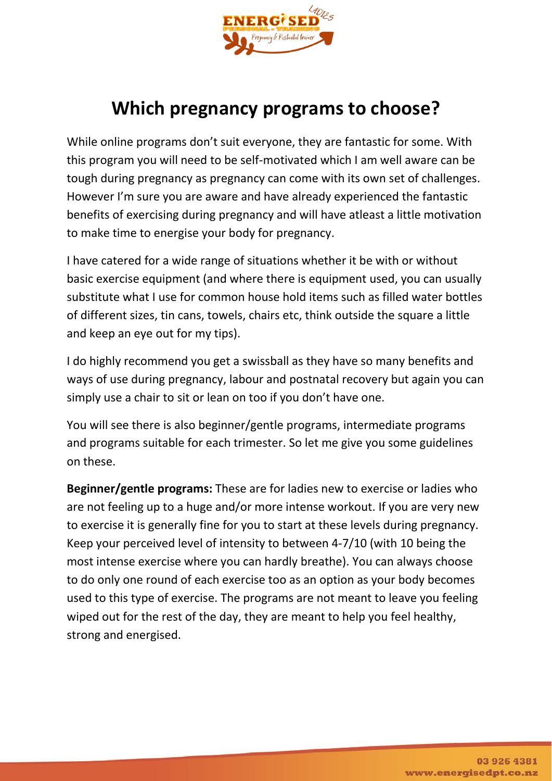

## **Which pregnancy programs to choose?**

While online programs don't suit everyone, they are fantastic for some. With this program you will need to be self-motivated which I am well aware can be tough during pregnancy as pregnancy can come with its own set of challenges. However I'm sure you are aware and have already experienced the fantastic benefits of exercising during pregnancy and will have atleast a little motivation to make time to energise your body for pregnancy.

I have catered for a wide range of situations whether it be with or without basic exercise equipment (and where there is equipment used, you can usually substitute what I use for common house hold items such as filled water bottles of different sizes, tin cans, towels, chairs etc, think outside the square a little and keep an eye out for my tips).

I do highly recommend you get a swissball as they have so many benefits and ways of use during pregnancy, labour and postnatal recovery but again you can simply use a chair to sit or lean on too if you don't have one.

You will see there is also beginner/gentle programs, intermediate programs and programs suitable for each trimester. So let me give you some guidelines on these.

**Beginner/gentle programs:** These are for ladies new to exercise or ladies who are not feeling up to a huge and/or more intense workout. If you are very new to exercise it is generally fine for you to start at these levels during pregnancy. Keep your perceived level of intensity to between 4-7/10 (with 10 being the most intense exercise where you can hardly breathe). You can always choose to do only one round of each exercise too as an option as your body becomes used to this type of exercise. The programs are not meant to leave you feeling wiped out for the rest of the day, they are meant to help you feel healthy, strong and energised.